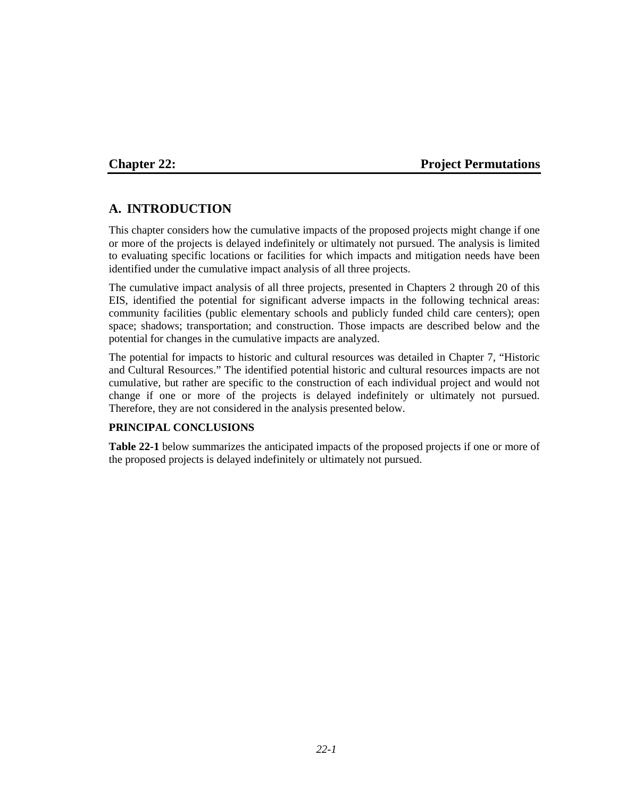## **Chapter 22: Project Permutations**

# **A. INTRODUCTION**

This chapter considers how the cumulative impacts of the proposed projects might change if one or more of the projects is delayed indefinitely or ultimately not pursued. The analysis is limited to evaluating specific locations or facilities for which impacts and mitigation needs have been identified under the cumulative impact analysis of all three projects.

The cumulative impact analysis of all three projects, presented in Chapters 2 through 20 of this EIS, identified the potential for significant adverse impacts in the following technical areas: community facilities (public elementary schools and publicly funded child care centers); open space; shadows; transportation; and construction. Those impacts are described below and the potential for changes in the cumulative impacts are analyzed.

The potential for impacts to historic and cultural resources was detailed in Chapter 7, "Historic and Cultural Resources." The identified potential historic and cultural resources impacts are not cumulative, but rather are specific to the construction of each individual project and would not change if one or more of the projects is delayed indefinitely or ultimately not pursued. Therefore, they are not considered in the analysis presented below.

## **PRINCIPAL CONCLUSIONS**

**Table 22-1** below summarizes the anticipated impacts of the proposed projects if one or more of the proposed projects is delayed indefinitely or ultimately not pursued.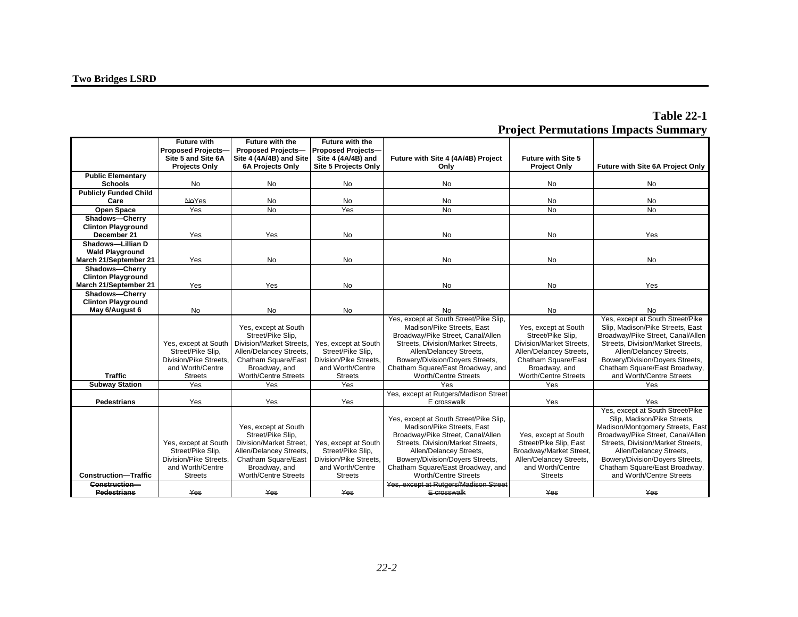| Proposed Projects-<br><b>Proposed Projects-</b><br><b>Proposed Projects-</b><br>Site 4 (4A/4B) and Site<br>Future with Site 4 (4A/4B) Project<br>Site 5 and Site 6A<br>Site 4 (4A/4B) and<br>Future with Site 5<br>Future with Site 6A Project Only<br><b>Projects Only</b><br><b>6A Projects Only</b><br>Site 5 Projects Only<br>Only<br><b>Project Only</b><br><b>Public Elementary</b><br>No<br>No<br>No<br><b>Schools</b><br><b>No</b><br>No<br><b>No</b><br><b>Publicly Funded Child</b><br>Care<br><b>NeYes</b><br>No<br>No<br><b>No</b><br><b>No</b><br>No<br><b>No</b><br><b>Open Space</b><br>Yes<br><b>No</b><br><b>No</b><br><b>No</b><br>Yes<br>Shadows-Cherry<br><b>Clinton Playground</b><br>December 21<br>Yes<br>Yes<br><b>No</b><br><b>No</b><br>Yes<br>No<br>Shadows-Lillian D<br><b>Wald Playground</b><br>March 21/September 21<br>Yes<br><b>No</b><br>No<br><b>No</b><br><b>No</b><br>No<br>Shadows-Cherry<br><b>Clinton Playground</b><br>Yes<br>No<br><b>No</b><br>March 21/September 21<br>Yes<br><b>No</b><br>Yes<br>Shadows-Cherry<br><b>Clinton Playground</b><br>No<br><b>No</b><br>No<br>May 6/August 6<br><b>No</b><br>No<br>No<br>Yes, except at South Street/Pike Slip,<br>Yes, except at South Street/Pike<br>Slip, Madison/Pike Streets, East<br>Yes, except at South<br>Madison/Pike Streets, East<br>Yes, except at South<br>Street/Pike Slip.<br>Broadway/Pike Street, Canal/Allen<br>Street/Pike Slip.<br>Broadway/Pike Street, Canal/Allen<br>Division/Market Streets,<br>Streets, Division/Market Streets,<br>Streets, Division/Market Streets,<br>Division/Market Streets,<br>Yes, except at South<br>Yes, except at South<br>Street/Pike Slip.<br>Allen/Delancey Streets,<br>Street/Pike Slip,<br>Allen/Delancey Streets,<br>Allen/Delancey Streets,<br>Allen/Delancey Streets,<br>Division/Pike Streets.<br>Division/Pike Streets.<br>Bowery/Division/Doyers Streets,<br>Bowery/Division/Doyers Streets,<br>Chatham Square/East<br>Chatham Square/East<br>and Worth/Centre<br>Broadway, and<br>and Worth/Centre<br>Chatham Square/East Broadway, and<br>Chatham Square/East Broadway,<br>Broadway, and<br><b>Traffic</b><br>and Worth/Centre Streets<br><b>Streets</b><br><b>Worth/Centre Streets</b><br><b>Streets</b><br>Worth/Centre Streets<br>Worth/Centre Streets<br>Yes<br>Yes<br>Yes<br>Yes<br>Yes<br>Yes<br><b>Subway Station</b> | <b>Future with</b> | <b>Future with the</b> | <b>Future with the</b> |                                       |  |
|---------------------------------------------------------------------------------------------------------------------------------------------------------------------------------------------------------------------------------------------------------------------------------------------------------------------------------------------------------------------------------------------------------------------------------------------------------------------------------------------------------------------------------------------------------------------------------------------------------------------------------------------------------------------------------------------------------------------------------------------------------------------------------------------------------------------------------------------------------------------------------------------------------------------------------------------------------------------------------------------------------------------------------------------------------------------------------------------------------------------------------------------------------------------------------------------------------------------------------------------------------------------------------------------------------------------------------------------------------------------------------------------------------------------------------------------------------------------------------------------------------------------------------------------------------------------------------------------------------------------------------------------------------------------------------------------------------------------------------------------------------------------------------------------------------------------------------------------------------------------------------------------------------------------------------------------------------------------------------------------------------------------------------------------------------------------------------------------------------------------------------------------------------------------------------------------------------------------------------------------------------------------------------------------------------------------------------------------------------------------------------------|--------------------|------------------------|------------------------|---------------------------------------|--|
|                                                                                                                                                                                                                                                                                                                                                                                                                                                                                                                                                                                                                                                                                                                                                                                                                                                                                                                                                                                                                                                                                                                                                                                                                                                                                                                                                                                                                                                                                                                                                                                                                                                                                                                                                                                                                                                                                                                                                                                                                                                                                                                                                                                                                                                                                                                                                                                       |                    |                        |                        |                                       |  |
|                                                                                                                                                                                                                                                                                                                                                                                                                                                                                                                                                                                                                                                                                                                                                                                                                                                                                                                                                                                                                                                                                                                                                                                                                                                                                                                                                                                                                                                                                                                                                                                                                                                                                                                                                                                                                                                                                                                                                                                                                                                                                                                                                                                                                                                                                                                                                                                       |                    |                        |                        |                                       |  |
|                                                                                                                                                                                                                                                                                                                                                                                                                                                                                                                                                                                                                                                                                                                                                                                                                                                                                                                                                                                                                                                                                                                                                                                                                                                                                                                                                                                                                                                                                                                                                                                                                                                                                                                                                                                                                                                                                                                                                                                                                                                                                                                                                                                                                                                                                                                                                                                       |                    |                        |                        |                                       |  |
|                                                                                                                                                                                                                                                                                                                                                                                                                                                                                                                                                                                                                                                                                                                                                                                                                                                                                                                                                                                                                                                                                                                                                                                                                                                                                                                                                                                                                                                                                                                                                                                                                                                                                                                                                                                                                                                                                                                                                                                                                                                                                                                                                                                                                                                                                                                                                                                       |                    |                        |                        |                                       |  |
|                                                                                                                                                                                                                                                                                                                                                                                                                                                                                                                                                                                                                                                                                                                                                                                                                                                                                                                                                                                                                                                                                                                                                                                                                                                                                                                                                                                                                                                                                                                                                                                                                                                                                                                                                                                                                                                                                                                                                                                                                                                                                                                                                                                                                                                                                                                                                                                       |                    |                        |                        |                                       |  |
|                                                                                                                                                                                                                                                                                                                                                                                                                                                                                                                                                                                                                                                                                                                                                                                                                                                                                                                                                                                                                                                                                                                                                                                                                                                                                                                                                                                                                                                                                                                                                                                                                                                                                                                                                                                                                                                                                                                                                                                                                                                                                                                                                                                                                                                                                                                                                                                       |                    |                        |                        |                                       |  |
|                                                                                                                                                                                                                                                                                                                                                                                                                                                                                                                                                                                                                                                                                                                                                                                                                                                                                                                                                                                                                                                                                                                                                                                                                                                                                                                                                                                                                                                                                                                                                                                                                                                                                                                                                                                                                                                                                                                                                                                                                                                                                                                                                                                                                                                                                                                                                                                       |                    |                        |                        |                                       |  |
|                                                                                                                                                                                                                                                                                                                                                                                                                                                                                                                                                                                                                                                                                                                                                                                                                                                                                                                                                                                                                                                                                                                                                                                                                                                                                                                                                                                                                                                                                                                                                                                                                                                                                                                                                                                                                                                                                                                                                                                                                                                                                                                                                                                                                                                                                                                                                                                       |                    |                        |                        |                                       |  |
|                                                                                                                                                                                                                                                                                                                                                                                                                                                                                                                                                                                                                                                                                                                                                                                                                                                                                                                                                                                                                                                                                                                                                                                                                                                                                                                                                                                                                                                                                                                                                                                                                                                                                                                                                                                                                                                                                                                                                                                                                                                                                                                                                                                                                                                                                                                                                                                       |                    |                        |                        |                                       |  |
|                                                                                                                                                                                                                                                                                                                                                                                                                                                                                                                                                                                                                                                                                                                                                                                                                                                                                                                                                                                                                                                                                                                                                                                                                                                                                                                                                                                                                                                                                                                                                                                                                                                                                                                                                                                                                                                                                                                                                                                                                                                                                                                                                                                                                                                                                                                                                                                       |                    |                        |                        |                                       |  |
|                                                                                                                                                                                                                                                                                                                                                                                                                                                                                                                                                                                                                                                                                                                                                                                                                                                                                                                                                                                                                                                                                                                                                                                                                                                                                                                                                                                                                                                                                                                                                                                                                                                                                                                                                                                                                                                                                                                                                                                                                                                                                                                                                                                                                                                                                                                                                                                       |                    |                        |                        |                                       |  |
|                                                                                                                                                                                                                                                                                                                                                                                                                                                                                                                                                                                                                                                                                                                                                                                                                                                                                                                                                                                                                                                                                                                                                                                                                                                                                                                                                                                                                                                                                                                                                                                                                                                                                                                                                                                                                                                                                                                                                                                                                                                                                                                                                                                                                                                                                                                                                                                       |                    |                        |                        |                                       |  |
|                                                                                                                                                                                                                                                                                                                                                                                                                                                                                                                                                                                                                                                                                                                                                                                                                                                                                                                                                                                                                                                                                                                                                                                                                                                                                                                                                                                                                                                                                                                                                                                                                                                                                                                                                                                                                                                                                                                                                                                                                                                                                                                                                                                                                                                                                                                                                                                       |                    |                        |                        |                                       |  |
|                                                                                                                                                                                                                                                                                                                                                                                                                                                                                                                                                                                                                                                                                                                                                                                                                                                                                                                                                                                                                                                                                                                                                                                                                                                                                                                                                                                                                                                                                                                                                                                                                                                                                                                                                                                                                                                                                                                                                                                                                                                                                                                                                                                                                                                                                                                                                                                       |                    |                        |                        |                                       |  |
|                                                                                                                                                                                                                                                                                                                                                                                                                                                                                                                                                                                                                                                                                                                                                                                                                                                                                                                                                                                                                                                                                                                                                                                                                                                                                                                                                                                                                                                                                                                                                                                                                                                                                                                                                                                                                                                                                                                                                                                                                                                                                                                                                                                                                                                                                                                                                                                       |                    |                        |                        |                                       |  |
|                                                                                                                                                                                                                                                                                                                                                                                                                                                                                                                                                                                                                                                                                                                                                                                                                                                                                                                                                                                                                                                                                                                                                                                                                                                                                                                                                                                                                                                                                                                                                                                                                                                                                                                                                                                                                                                                                                                                                                                                                                                                                                                                                                                                                                                                                                                                                                                       |                    |                        |                        |                                       |  |
|                                                                                                                                                                                                                                                                                                                                                                                                                                                                                                                                                                                                                                                                                                                                                                                                                                                                                                                                                                                                                                                                                                                                                                                                                                                                                                                                                                                                                                                                                                                                                                                                                                                                                                                                                                                                                                                                                                                                                                                                                                                                                                                                                                                                                                                                                                                                                                                       |                    |                        |                        |                                       |  |
|                                                                                                                                                                                                                                                                                                                                                                                                                                                                                                                                                                                                                                                                                                                                                                                                                                                                                                                                                                                                                                                                                                                                                                                                                                                                                                                                                                                                                                                                                                                                                                                                                                                                                                                                                                                                                                                                                                                                                                                                                                                                                                                                                                                                                                                                                                                                                                                       |                    |                        |                        |                                       |  |
|                                                                                                                                                                                                                                                                                                                                                                                                                                                                                                                                                                                                                                                                                                                                                                                                                                                                                                                                                                                                                                                                                                                                                                                                                                                                                                                                                                                                                                                                                                                                                                                                                                                                                                                                                                                                                                                                                                                                                                                                                                                                                                                                                                                                                                                                                                                                                                                       |                    |                        |                        |                                       |  |
|                                                                                                                                                                                                                                                                                                                                                                                                                                                                                                                                                                                                                                                                                                                                                                                                                                                                                                                                                                                                                                                                                                                                                                                                                                                                                                                                                                                                                                                                                                                                                                                                                                                                                                                                                                                                                                                                                                                                                                                                                                                                                                                                                                                                                                                                                                                                                                                       |                    |                        |                        |                                       |  |
|                                                                                                                                                                                                                                                                                                                                                                                                                                                                                                                                                                                                                                                                                                                                                                                                                                                                                                                                                                                                                                                                                                                                                                                                                                                                                                                                                                                                                                                                                                                                                                                                                                                                                                                                                                                                                                                                                                                                                                                                                                                                                                                                                                                                                                                                                                                                                                                       |                    |                        |                        |                                       |  |
|                                                                                                                                                                                                                                                                                                                                                                                                                                                                                                                                                                                                                                                                                                                                                                                                                                                                                                                                                                                                                                                                                                                                                                                                                                                                                                                                                                                                                                                                                                                                                                                                                                                                                                                                                                                                                                                                                                                                                                                                                                                                                                                                                                                                                                                                                                                                                                                       |                    |                        |                        |                                       |  |
|                                                                                                                                                                                                                                                                                                                                                                                                                                                                                                                                                                                                                                                                                                                                                                                                                                                                                                                                                                                                                                                                                                                                                                                                                                                                                                                                                                                                                                                                                                                                                                                                                                                                                                                                                                                                                                                                                                                                                                                                                                                                                                                                                                                                                                                                                                                                                                                       |                    |                        |                        |                                       |  |
|                                                                                                                                                                                                                                                                                                                                                                                                                                                                                                                                                                                                                                                                                                                                                                                                                                                                                                                                                                                                                                                                                                                                                                                                                                                                                                                                                                                                                                                                                                                                                                                                                                                                                                                                                                                                                                                                                                                                                                                                                                                                                                                                                                                                                                                                                                                                                                                       |                    |                        |                        |                                       |  |
|                                                                                                                                                                                                                                                                                                                                                                                                                                                                                                                                                                                                                                                                                                                                                                                                                                                                                                                                                                                                                                                                                                                                                                                                                                                                                                                                                                                                                                                                                                                                                                                                                                                                                                                                                                                                                                                                                                                                                                                                                                                                                                                                                                                                                                                                                                                                                                                       |                    |                        |                        |                                       |  |
|                                                                                                                                                                                                                                                                                                                                                                                                                                                                                                                                                                                                                                                                                                                                                                                                                                                                                                                                                                                                                                                                                                                                                                                                                                                                                                                                                                                                                                                                                                                                                                                                                                                                                                                                                                                                                                                                                                                                                                                                                                                                                                                                                                                                                                                                                                                                                                                       |                    |                        |                        |                                       |  |
|                                                                                                                                                                                                                                                                                                                                                                                                                                                                                                                                                                                                                                                                                                                                                                                                                                                                                                                                                                                                                                                                                                                                                                                                                                                                                                                                                                                                                                                                                                                                                                                                                                                                                                                                                                                                                                                                                                                                                                                                                                                                                                                                                                                                                                                                                                                                                                                       |                    |                        |                        |                                       |  |
|                                                                                                                                                                                                                                                                                                                                                                                                                                                                                                                                                                                                                                                                                                                                                                                                                                                                                                                                                                                                                                                                                                                                                                                                                                                                                                                                                                                                                                                                                                                                                                                                                                                                                                                                                                                                                                                                                                                                                                                                                                                                                                                                                                                                                                                                                                                                                                                       |                    |                        |                        |                                       |  |
|                                                                                                                                                                                                                                                                                                                                                                                                                                                                                                                                                                                                                                                                                                                                                                                                                                                                                                                                                                                                                                                                                                                                                                                                                                                                                                                                                                                                                                                                                                                                                                                                                                                                                                                                                                                                                                                                                                                                                                                                                                                                                                                                                                                                                                                                                                                                                                                       |                    |                        |                        | Yes, except at Rutgers/Madison Street |  |
| Yes<br>Yes<br>Yes<br><b>Pedestrians</b><br>Yes<br>E crosswalk<br>Yes                                                                                                                                                                                                                                                                                                                                                                                                                                                                                                                                                                                                                                                                                                                                                                                                                                                                                                                                                                                                                                                                                                                                                                                                                                                                                                                                                                                                                                                                                                                                                                                                                                                                                                                                                                                                                                                                                                                                                                                                                                                                                                                                                                                                                                                                                                                  |                    |                        |                        |                                       |  |
| Yes, except at South Street/Pike                                                                                                                                                                                                                                                                                                                                                                                                                                                                                                                                                                                                                                                                                                                                                                                                                                                                                                                                                                                                                                                                                                                                                                                                                                                                                                                                                                                                                                                                                                                                                                                                                                                                                                                                                                                                                                                                                                                                                                                                                                                                                                                                                                                                                                                                                                                                                      |                    |                        |                        |                                       |  |
| Yes, except at South Street/Pike Slip,<br>Slip, Madison/Pike Streets,                                                                                                                                                                                                                                                                                                                                                                                                                                                                                                                                                                                                                                                                                                                                                                                                                                                                                                                                                                                                                                                                                                                                                                                                                                                                                                                                                                                                                                                                                                                                                                                                                                                                                                                                                                                                                                                                                                                                                                                                                                                                                                                                                                                                                                                                                                                 |                    |                        |                        |                                       |  |
| Yes, except at South<br>Madison/Pike Streets, East<br>Madison/Montgomery Streets, East                                                                                                                                                                                                                                                                                                                                                                                                                                                                                                                                                                                                                                                                                                                                                                                                                                                                                                                                                                                                                                                                                                                                                                                                                                                                                                                                                                                                                                                                                                                                                                                                                                                                                                                                                                                                                                                                                                                                                                                                                                                                                                                                                                                                                                                                                                |                    |                        |                        |                                       |  |
| Street/Pike Slip,<br>Broadway/Pike Street, Canal/Allen<br>Broadway/Pike Street, Canal/Allen<br>Yes, except at South                                                                                                                                                                                                                                                                                                                                                                                                                                                                                                                                                                                                                                                                                                                                                                                                                                                                                                                                                                                                                                                                                                                                                                                                                                                                                                                                                                                                                                                                                                                                                                                                                                                                                                                                                                                                                                                                                                                                                                                                                                                                                                                                                                                                                                                                   |                    |                        |                        |                                       |  |
| Division/Market Street,<br>Street/Pike Slip, East<br>Streets, Division/Market Streets,<br>Yes, except at South<br>Yes, except at South<br>Streets, Division/Market Streets,<br>Street/Pike Slip.<br>Allen/Delancey Streets,<br>Street/Pike Slip.<br>Allen/Delancey Streets,<br>Broadway/Market Street.<br>Allen/Delancey Streets,                                                                                                                                                                                                                                                                                                                                                                                                                                                                                                                                                                                                                                                                                                                                                                                                                                                                                                                                                                                                                                                                                                                                                                                                                                                                                                                                                                                                                                                                                                                                                                                                                                                                                                                                                                                                                                                                                                                                                                                                                                                     |                    |                        |                        |                                       |  |
| Division/Pike Streets.<br>Division/Pike Streets.<br>Bowery/Division/Doyers Streets,<br>Allen/Delancey Streets,<br>Bowery/Division/Doyers Streets,<br>Chatham Square/East                                                                                                                                                                                                                                                                                                                                                                                                                                                                                                                                                                                                                                                                                                                                                                                                                                                                                                                                                                                                                                                                                                                                                                                                                                                                                                                                                                                                                                                                                                                                                                                                                                                                                                                                                                                                                                                                                                                                                                                                                                                                                                                                                                                                              |                    |                        |                        |                                       |  |
| Chatham Square/East Broadway,<br>and Worth/Centre<br>Broadway, and<br>and Worth/Centre<br>Chatham Square/East Broadway, and<br>and Worth/Centre                                                                                                                                                                                                                                                                                                                                                                                                                                                                                                                                                                                                                                                                                                                                                                                                                                                                                                                                                                                                                                                                                                                                                                                                                                                                                                                                                                                                                                                                                                                                                                                                                                                                                                                                                                                                                                                                                                                                                                                                                                                                                                                                                                                                                                       |                    |                        |                        |                                       |  |
| and Worth/Centre Streets<br><b>Construction-Traffic</b><br>Worth/Centre Streets<br>Worth/Centre Streets<br><b>Streets</b><br><b>Streets</b><br><b>Streets</b>                                                                                                                                                                                                                                                                                                                                                                                                                                                                                                                                                                                                                                                                                                                                                                                                                                                                                                                                                                                                                                                                                                                                                                                                                                                                                                                                                                                                                                                                                                                                                                                                                                                                                                                                                                                                                                                                                                                                                                                                                                                                                                                                                                                                                         |                    |                        |                        |                                       |  |
| Yes, except at Rutgers/Madison Street<br>Construction-                                                                                                                                                                                                                                                                                                                                                                                                                                                                                                                                                                                                                                                                                                                                                                                                                                                                                                                                                                                                                                                                                                                                                                                                                                                                                                                                                                                                                                                                                                                                                                                                                                                                                                                                                                                                                                                                                                                                                                                                                                                                                                                                                                                                                                                                                                                                |                    |                        |                        |                                       |  |
| Yes<br>Yes<br>E crosswalk<br><b>Pedestrians</b><br>Yes<br>Yes<br>Yes                                                                                                                                                                                                                                                                                                                                                                                                                                                                                                                                                                                                                                                                                                                                                                                                                                                                                                                                                                                                                                                                                                                                                                                                                                                                                                                                                                                                                                                                                                                                                                                                                                                                                                                                                                                                                                                                                                                                                                                                                                                                                                                                                                                                                                                                                                                  |                    |                        |                        |                                       |  |

# **Table 22-1 Project Permutations Impacts Summary**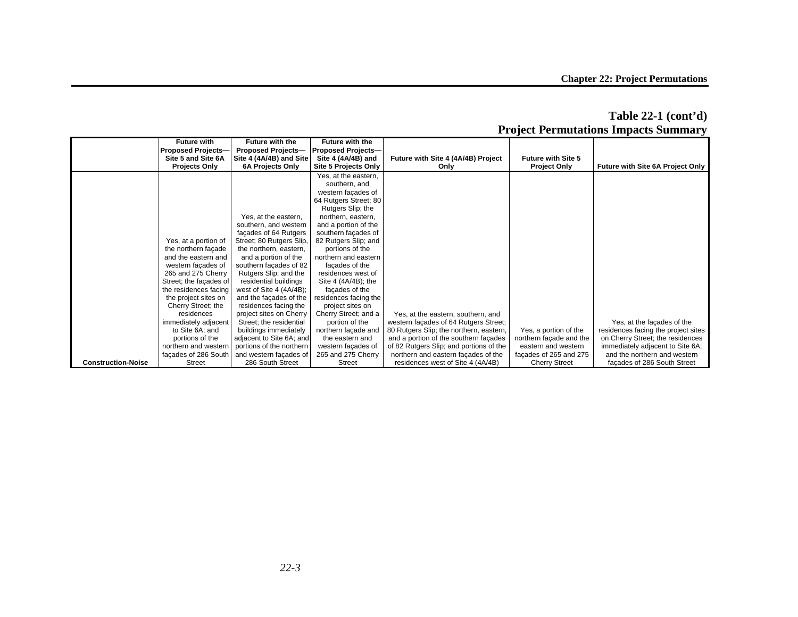|                           |                           |                           |                           |                                         |                           | Froject Fermutations Impacts Summary |
|---------------------------|---------------------------|---------------------------|---------------------------|-----------------------------------------|---------------------------|--------------------------------------|
|                           | <b>Future with</b>        | <b>Future with the</b>    | <b>Future with the</b>    |                                         |                           |                                      |
|                           | <b>Proposed Projects-</b> | <b>Proposed Projects-</b> | <b>Proposed Projects-</b> |                                         |                           |                                      |
|                           | Site 5 and Site 6A        | Site 4 (4A/4B) and Site   | Site 4 (4A/4B) and        | Future with Site 4 (4A/4B) Project      | <b>Future with Site 5</b> |                                      |
|                           | <b>Projects Only</b>      | 6A Projects Only          | Site 5 Projects Only      | Only                                    | <b>Project Only</b>       | Future with Site 6A Project Only     |
|                           |                           |                           | Yes, at the eastern,      |                                         |                           |                                      |
|                           |                           |                           | southern, and             |                                         |                           |                                      |
|                           |                           |                           | western facades of        |                                         |                           |                                      |
|                           |                           |                           | 64 Rutgers Street; 80     |                                         |                           |                                      |
|                           |                           |                           | Rutgers Slip; the         |                                         |                           |                                      |
|                           |                           | Yes, at the eastern,      |                           |                                         |                           |                                      |
|                           |                           |                           | northern, eastern,        |                                         |                           |                                      |
|                           |                           | southern, and western     | and a portion of the      |                                         |                           |                                      |
|                           |                           | façades of 64 Rutgers     | southern façades of       |                                         |                           |                                      |
|                           | Yes, at a portion of      | Street; 80 Rutgers Slip,  | 82 Rutgers Slip; and      |                                         |                           |                                      |
|                           | the northern façade       | the northern, eastern,    | portions of the           |                                         |                           |                                      |
|                           | and the eastern and       | and a portion of the      | northern and eastern      |                                         |                           |                                      |
|                           | western façades of        | southern façades of 82    | façades of the            |                                         |                           |                                      |
|                           | 265 and 275 Cherry        | Rutgers Slip; and the     | residences west of        |                                         |                           |                                      |
|                           | Street; the facades of    | residential buildings     | Site 4 (4A/4B); the       |                                         |                           |                                      |
|                           | the residences facing     | west of Site 4 (4A/4B);   | façades of the            |                                         |                           |                                      |
|                           | the project sites on      | and the facades of the    | residences facing the     |                                         |                           |                                      |
|                           | Cherry Street; the        | residences facing the     | project sites on          |                                         |                           |                                      |
|                           | residences                | project sites on Cherry   | Cherry Street; and a      | Yes, at the eastern, southern, and      |                           |                                      |
|                           | immediately adjacent      | Street; the residential   | portion of the            | western façades of 64 Rutgers Street;   |                           | Yes, at the facades of the           |
|                           | to Site 6A: and           | buildings immediately     | northern façade and       | 80 Rutgers Slip; the northern, eastern, | Yes, a portion of the     | residences facing the project sites  |
|                           | portions of the           | adjacent to Site 6A; and  | the eastern and           | and a portion of the southern façades   | northern façade and the   | on Cherry Street; the residences     |
|                           | northern and western      | portions of the northern  | western façades of        | of 82 Rutgers Slip; and portions of the | eastern and western       | immediately adjacent to Site 6A;     |
|                           | facades of 286 South      | and western facades of    | 265 and 275 Cherry        | northern and eastern façades of the     | facades of 265 and 275    | and the northern and western         |
| <b>Construction-Noise</b> | <b>Street</b>             | 286 South Street          | <b>Street</b>             | residences west of Site 4 (4A/4B)       | <b>Cherry Street</b>      | façades of 286 South Street          |

## **Table 22-1 (cont'd) Project Permutations Impacts Summary**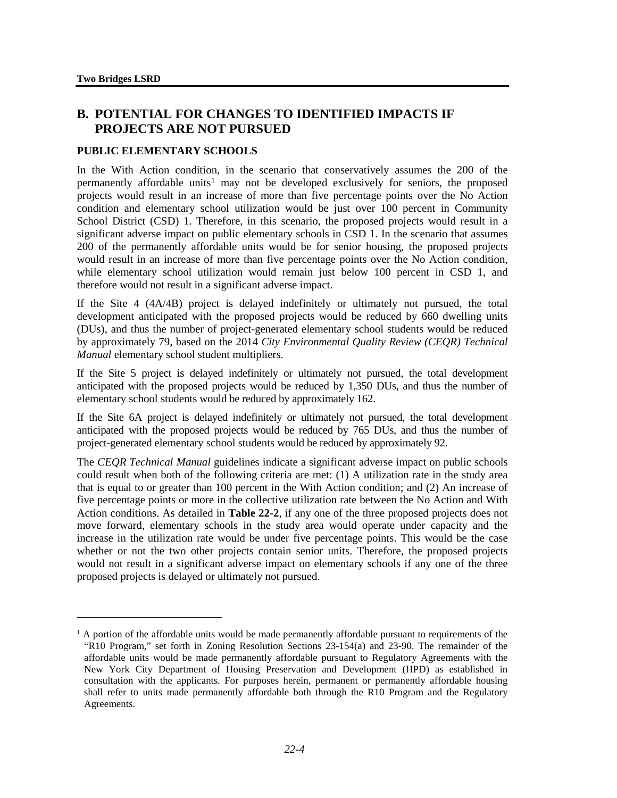1

# **B. POTENTIAL FOR CHANGES TO IDENTIFIED IMPACTS IF PROJECTS ARE NOT PURSUED**

## **PUBLIC ELEMENTARY SCHOOLS**

In the With Action condition, in the scenario that conservatively assumes the 200 of the permanently affordable units<sup>[1](#page-3-0)</sup> may not be developed exclusively for seniors, the proposed projects would result in an increase of more than five percentage points over the No Action condition and elementary school utilization would be just over 100 percent in Community School District (CSD) 1. Therefore, in this scenario, the proposed projects would result in a significant adverse impact on public elementary schools in CSD 1. In the scenario that assumes 200 of the permanently affordable units would be for senior housing, the proposed projects would result in an increase of more than five percentage points over the No Action condition, while elementary school utilization would remain just below 100 percent in CSD 1, and therefore would not result in a significant adverse impact.

If the Site 4 (4A/4B) project is delayed indefinitely or ultimately not pursued, the total development anticipated with the proposed projects would be reduced by 660 dwelling units (DUs), and thus the number of project-generated elementary school students would be reduced by approximately 79, based on the 2014 *City Environmental Quality Review (CEQR) Technical Manual* elementary school student multipliers.

If the Site 5 project is delayed indefinitely or ultimately not pursued, the total development anticipated with the proposed projects would be reduced by 1,350 DUs, and thus the number of elementary school students would be reduced by approximately 162.

If the Site 6A project is delayed indefinitely or ultimately not pursued, the total development anticipated with the proposed projects would be reduced by 765 DUs, and thus the number of project-generated elementary school students would be reduced by approximately 92.

The *CEQR Technical Manual* guidelines indicate a significant adverse impact on public schools could result when both of the following criteria are met: (1) A utilization rate in the study area that is equal to or greater than 100 percent in the With Action condition; and (2) An increase of five percentage points or more in the collective utilization rate between the No Action and With Action conditions. As detailed in **Table 22-2**, if any one of the three proposed projects does not move forward, elementary schools in the study area would operate under capacity and the increase in the utilization rate would be under five percentage points. This would be the case whether or not the two other projects contain senior units. Therefore, the proposed projects would not result in a significant adverse impact on elementary schools if any one of the three proposed projects is delayed or ultimately not pursued.

<span id="page-3-0"></span> $1$ <sup>1</sup> A portion of the affordable units would be made permanently affordable pursuant to requirements of the "R10 Program," set forth in Zoning Resolution Sections 23-154(a) and 23-90. The remainder of the affordable units would be made permanently affordable pursuant to Regulatory Agreements with the New York City Department of Housing Preservation and Development (HPD) as established in consultation with the applicants. For purposes herein, permanent or permanently affordable housing shall refer to units made permanently affordable both through the R10 Program and the Regulatory Agreements.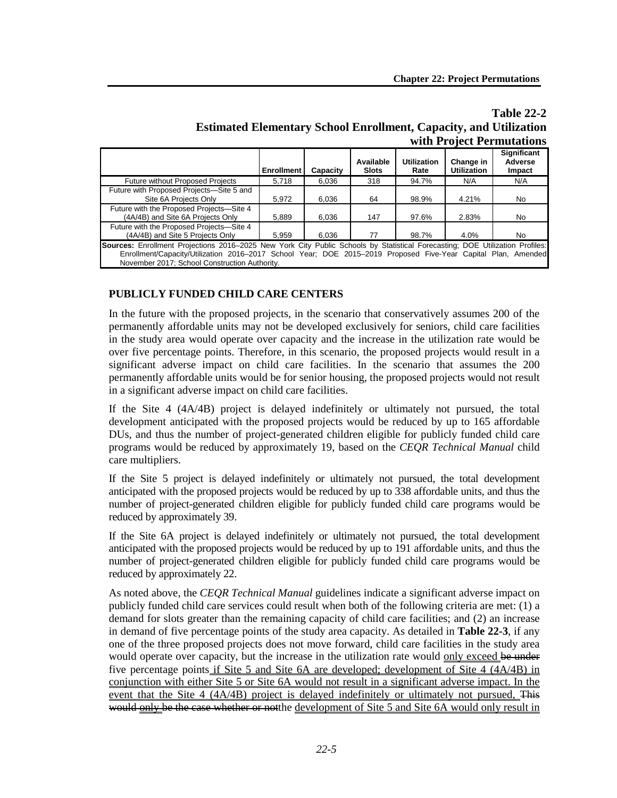# **Table 22-2 Estimated Elementary School Enrollment, Capacity, and Utilization with Project Permutations**

|                                                                                                                                                                                                                                                                                                | <b>Enrollment</b> | Capacity | Available<br><b>Slots</b> | <b>Utilization</b><br>Rate | Change in<br><b>Utilization</b> | <b>Significant</b><br>Adverse<br>Impact |
|------------------------------------------------------------------------------------------------------------------------------------------------------------------------------------------------------------------------------------------------------------------------------------------------|-------------------|----------|---------------------------|----------------------------|---------------------------------|-----------------------------------------|
| <b>Future without Proposed Projects</b>                                                                                                                                                                                                                                                        | 5,718             | 6.036    | 318                       | 94.7%                      | N/A                             | N/A                                     |
| Future with Proposed Projects-Site 5 and<br>Site 6A Projects Only                                                                                                                                                                                                                              | 5.972             | 6,036    | 64                        | 98.9%                      | 4.21%                           | No.                                     |
| Future with the Proposed Projects-Site 4<br>(4A/4B) and Site 6A Projects Only                                                                                                                                                                                                                  | 5,889             | 6,036    | 147                       | 97.6%                      | 2.83%                           | No.                                     |
| Future with the Proposed Projects-Site 4<br>(4A/4B) and Site 5 Projects Only                                                                                                                                                                                                                   | 5,959             | 6,036    | 77                        | 98.7%                      | 4.0%                            | No                                      |
| Sources: Enrollment Projections 2016–2025 New York City Public Schools by Statistical Forecasting; DOE Utilization Profiles:<br>Enrollment/Capacity/Utilization 2016-2017 School Year; DOE 2015-2019 Proposed Five-Year Capital Plan, Amended<br>November 2017; School Construction Authority. |                   |          |                           |                            |                                 |                                         |

# **PUBLICLY FUNDED CHILD CARE CENTERS**

In the future with the proposed projects, in the scenario that conservatively assumes 200 of the permanently affordable units may not be developed exclusively for seniors, child care facilities in the study area would operate over capacity and the increase in the utilization rate would be over five percentage points. Therefore, in this scenario, the proposed projects would result in a significant adverse impact on child care facilities. In the scenario that assumes the 200 permanently affordable units would be for senior housing, the proposed projects would not result in a significant adverse impact on child care facilities.

If the Site 4 (4A/4B) project is delayed indefinitely or ultimately not pursued, the total development anticipated with the proposed projects would be reduced by up to 165 affordable DUs, and thus the number of project-generated children eligible for publicly funded child care programs would be reduced by approximately 19, based on the *CEQR Technical Manual* child care multipliers.

If the Site 5 project is delayed indefinitely or ultimately not pursued, the total development anticipated with the proposed projects would be reduced by up to 338 affordable units, and thus the number of project-generated children eligible for publicly funded child care programs would be reduced by approximately 39.

If the Site 6A project is delayed indefinitely or ultimately not pursued, the total development anticipated with the proposed projects would be reduced by up to 191 affordable units, and thus the number of project-generated children eligible for publicly funded child care programs would be reduced by approximately 22.

As noted above, the *CEQR Technical Manual* guidelines indicate a significant adverse impact on publicly funded child care services could result when both of the following criteria are met: (1) a demand for slots greater than the remaining capacity of child care facilities; and (2) an increase in demand of five percentage points of the study area capacity. As detailed in **Table 22-3**, if any one of the three proposed projects does not move forward, child care facilities in the study area would operate over capacity, but the increase in the utilization rate would only exceed be under five percentage points if Site 5 and Site 6A are developed; development of Site 4 (4A/4B) in conjunction with either Site 5 or Site 6A would not result in a significant adverse impact. In the event that the Site  $4 \frac{(4A/4B)}{P}$  project is delayed indefinitely or ultimately not pursued, This would only be the case whether or notthe development of Site 5 and Site 6A would only result in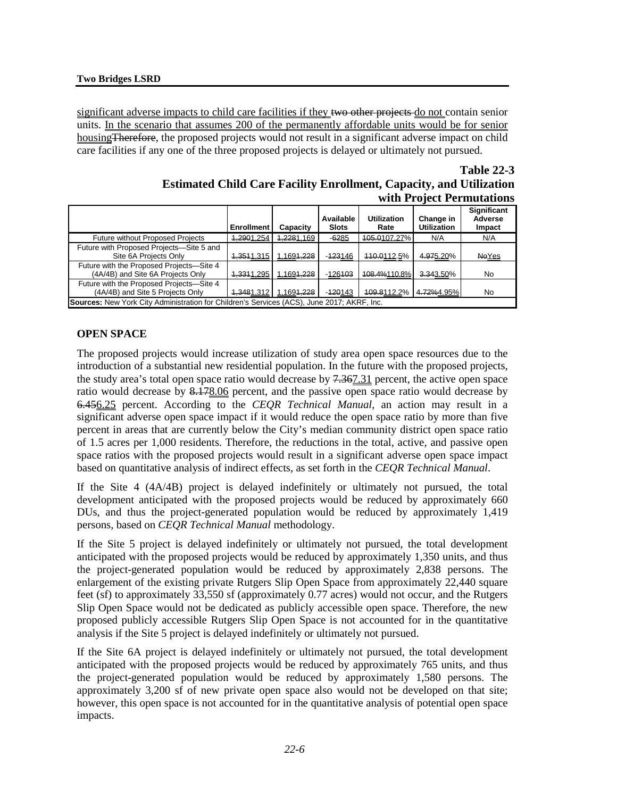significant adverse impacts to child care facilities if they two other projects do not contain senior units. In the scenario that assumes 200 of the permanently affordable units would be for senior housingTherefore, the proposed projects would not result in a significant adverse impact on child care facilities if any one of the three proposed projects is delayed or ultimately not pursued.

**Table 22-3**

| <b>Estimated Child Care Facility Enrollment, Capacity, and Utilization</b> |                           |
|----------------------------------------------------------------------------|---------------------------|
|                                                                            | with Project Permutations |

|                                                                                                                                                                      | <b>Enrollment</b>     | Capacity                | Available<br><b>Slots</b> | <b>Utilization</b><br>Rate | Change in<br><b>Utilization</b> | <b>Significant</b><br>Adverse<br>Impact |  |
|----------------------------------------------------------------------------------------------------------------------------------------------------------------------|-----------------------|-------------------------|---------------------------|----------------------------|---------------------------------|-----------------------------------------|--|
| <b>Future without Proposed Projects</b>                                                                                                                              | 1,2901.254            | 1,2281.169              | $-6285$                   | 405.0107.27%               | N/A                             | N/A                                     |  |
| Future with Proposed Projects-Site 5 and<br>Site 6A Projects Only                                                                                                    |                       | 1,3511.315   1.1691,228 | $-423146$                 | 440.0112.5%                | 4.975.20%                       | <b>NeYes</b>                            |  |
| Future with the Proposed Projects-Site 4<br>(4A/4B) and Site 6A Projects Only<br>4,3311.295   1.1691,228<br>$-126103$<br>108.4%110.8%<br>No<br><del>3.34</del> 3.50% |                       |                         |                           |                            |                                 |                                         |  |
| Future with the Proposed Projects-Site 4<br>(4A/4B) and Site 5 Projects Only                                                                                         | 1,3481,312 1,1691,228 |                         | $-420143$                 | 409.8112.2%                | 4.72%4.95%                      | No                                      |  |
| Sources: New York City Administration for Children's Services (ACS), June 2017; AKRF, Inc.                                                                           |                       |                         |                           |                            |                                 |                                         |  |

## **OPEN SPACE**

The proposed projects would increase utilization of study area open space resources due to the introduction of a substantial new residential population. In the future with the proposed projects, the study area's total open space ratio would decrease by 7.367.31 percent, the active open space ratio would decrease by 8.178.06 percent, and the passive open space ratio would decrease by 6.456.25 percent. According to the *CEQR Technical Manual*, an action may result in a significant adverse open space impact if it would reduce the open space ratio by more than five percent in areas that are currently below the City's median community district open space ratio of 1.5 acres per 1,000 residents. Therefore, the reductions in the total, active, and passive open space ratios with the proposed projects would result in a significant adverse open space impact based on quantitative analysis of indirect effects, as set forth in the *CEQR Technical Manual*.

If the Site 4 (4A/4B) project is delayed indefinitely or ultimately not pursued, the total development anticipated with the proposed projects would be reduced by approximately 660 DUs, and thus the project-generated population would be reduced by approximately 1,419 persons, based on *CEQR Technical Manual* methodology.

If the Site 5 project is delayed indefinitely or ultimately not pursued, the total development anticipated with the proposed projects would be reduced by approximately 1,350 units, and thus the project-generated population would be reduced by approximately 2,838 persons. The enlargement of the existing private Rutgers Slip Open Space from approximately 22,440 square feet (sf) to approximately 33,550 sf (approximately 0.77 acres) would not occur, and the Rutgers Slip Open Space would not be dedicated as publicly accessible open space. Therefore, the new proposed publicly accessible Rutgers Slip Open Space is not accounted for in the quantitative analysis if the Site 5 project is delayed indefinitely or ultimately not pursued.

If the Site 6A project is delayed indefinitely or ultimately not pursued, the total development anticipated with the proposed projects would be reduced by approximately 765 units, and thus the project-generated population would be reduced by approximately 1,580 persons. The approximately 3,200 sf of new private open space also would not be developed on that site; however, this open space is not accounted for in the quantitative analysis of potential open space impacts.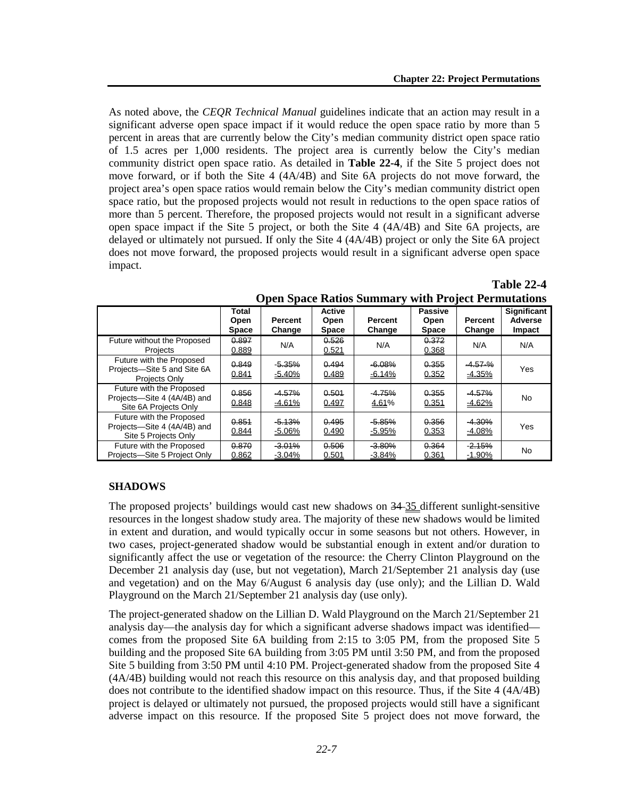As noted above, the *CEQR Technical Manual* guidelines indicate that an action may result in a significant adverse open space impact if it would reduce the open space ratio by more than 5 percent in areas that are currently below the City's median community district open space ratio of 1.5 acres per 1,000 residents. The project area is currently below the City's median community district open space ratio. As detailed in **Table 22-4**, if the Site 5 project does not move forward, or if both the Site 4 (4A/4B) and Site 6A projects do not move forward, the project area's open space ratios would remain below the City's median community district open space ratio, but the proposed projects would not result in reductions to the open space ratios of more than 5 percent. Therefore, the proposed projects would not result in a significant adverse open space impact if the Site 5 project, or both the Site 4 (4A/4B) and Site 6A projects, are delayed or ultimately not pursued. If only the Site 4 (4A/4B) project or only the Site 6A project does not move forward, the proposed projects would result in a significant adverse open space impact.

|                                                                                  | Total<br>Open<br><b>Space</b> | Percent<br>Change    | <b>Active</b><br>Open<br><b>Space</b> | Percent<br>Change    | <b>Passive</b><br>Open<br><b>Space</b> | <b>Percent</b><br>Change | <b>Significant</b><br><b>Adverse</b><br>Impact |
|----------------------------------------------------------------------------------|-------------------------------|----------------------|---------------------------------------|----------------------|----------------------------------------|--------------------------|------------------------------------------------|
| Future without the Proposed<br>Projects                                          | 0.897<br>0.889                | N/A                  | 0.526<br>0.521                        | N/A                  | 0.372<br>0.368                         | N/A                      | N/A                                            |
| Future with the Proposed<br>Projects-Site 5 and Site 6A<br>Projects Only         | 0.849<br>0.841                | $-5.35%$<br>$-5.40%$ | 0.494<br>0.489                        | $-6.08%$<br>$-6.14%$ | 0.355<br>0.352                         | $-4.57 - \%$<br>$-4.35%$ | Yes                                            |
| Future with the Proposed<br>Projects-Site 4 (4A/4B) and<br>Site 6A Projects Only | 0.856<br>0.848                | $-4.57%$<br>$-4.61%$ | 0.501<br>0.497                        | $-4.75%$<br>4.61%    | 0.355<br>0.351                         | $-4.57%$<br>$-4.62%$     | No                                             |
| Future with the Proposed<br>Projects-Site 4 (4A/4B) and<br>Site 5 Projects Only  | 0.854<br>0.844                | $-5.13%$<br>$-5.06%$ | 0.495<br>0.490                        | $-5.85%$<br>$-5.95%$ | 0.356<br>0.353                         | $-4.30%$<br>$-4.08%$     | Yes                                            |
| Future with the Proposed<br>Projects-Site 5 Project Only                         | 0.870<br>0.862                | $-3.01%$<br>$-3.04%$ | 0.506<br>0.501                        | $-3.80%$<br>$-3.84%$ | 0.364<br>0.361                         | $-2.15%$<br>$-1.90%$     | No                                             |

|                                                            | <b>Table 22-4</b> |
|------------------------------------------------------------|-------------------|
| <b>Open Space Ratios Summary with Project Permutations</b> |                   |

#### **SHADOWS**

The proposed projects' buildings would cast new shadows on 34 35 different sunlight-sensitive resources in the longest shadow study area. The majority of these new shadows would be limited in extent and duration, and would typically occur in some seasons but not others. However, in two cases, project-generated shadow would be substantial enough in extent and/or duration to significantly affect the use or vegetation of the resource: the Cherry Clinton Playground on the December 21 analysis day (use, but not vegetation), March 21/September 21 analysis day (use and vegetation) and on the May 6/August 6 analysis day (use only); and the Lillian D. Wald Playground on the March 21/September 21 analysis day (use only).

The project-generated shadow on the Lillian D. Wald Playground on the March 21/September 21 analysis day—the analysis day for which a significant adverse shadows impact was identified comes from the proposed Site 6A building from 2:15 to 3:05 PM, from the proposed Site 5 building and the proposed Site 6A building from 3:05 PM until 3:50 PM, and from the proposed Site 5 building from 3:50 PM until 4:10 PM. Project-generated shadow from the proposed Site 4 (4A/4B) building would not reach this resource on this analysis day, and that proposed building does not contribute to the identified shadow impact on this resource. Thus, if the Site 4 (4A/4B) project is delayed or ultimately not pursued, the proposed projects would still have a significant adverse impact on this resource. If the proposed Site 5 project does not move forward, the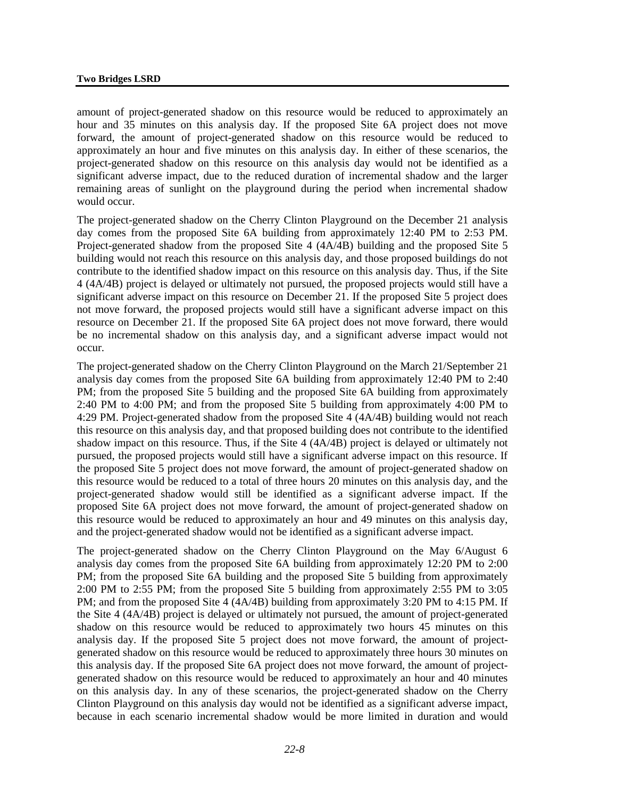amount of project-generated shadow on this resource would be reduced to approximately an hour and 35 minutes on this analysis day. If the proposed Site 6A project does not move forward, the amount of project-generated shadow on this resource would be reduced to approximately an hour and five minutes on this analysis day. In either of these scenarios, the project-generated shadow on this resource on this analysis day would not be identified as a significant adverse impact, due to the reduced duration of incremental shadow and the larger remaining areas of sunlight on the playground during the period when incremental shadow would occur.

The project-generated shadow on the Cherry Clinton Playground on the December 21 analysis day comes from the proposed Site 6A building from approximately 12:40 PM to 2:53 PM. Project-generated shadow from the proposed Site 4 (4A/4B) building and the proposed Site 5 building would not reach this resource on this analysis day, and those proposed buildings do not contribute to the identified shadow impact on this resource on this analysis day. Thus, if the Site 4 (4A/4B) project is delayed or ultimately not pursued, the proposed projects would still have a significant adverse impact on this resource on December 21. If the proposed Site 5 project does not move forward, the proposed projects would still have a significant adverse impact on this resource on December 21. If the proposed Site 6A project does not move forward, there would be no incremental shadow on this analysis day, and a significant adverse impact would not occur.

The project-generated shadow on the Cherry Clinton Playground on the March 21/September 21 analysis day comes from the proposed Site 6A building from approximately 12:40 PM to 2:40 PM; from the proposed Site 5 building and the proposed Site 6A building from approximately 2:40 PM to 4:00 PM; and from the proposed Site 5 building from approximately 4:00 PM to 4:29 PM. Project-generated shadow from the proposed Site 4 (4A/4B) building would not reach this resource on this analysis day, and that proposed building does not contribute to the identified shadow impact on this resource. Thus, if the Site 4 (4A/4B) project is delayed or ultimately not pursued, the proposed projects would still have a significant adverse impact on this resource. If the proposed Site 5 project does not move forward, the amount of project-generated shadow on this resource would be reduced to a total of three hours 20 minutes on this analysis day, and the project-generated shadow would still be identified as a significant adverse impact. If the proposed Site 6A project does not move forward, the amount of project-generated shadow on this resource would be reduced to approximately an hour and 49 minutes on this analysis day, and the project-generated shadow would not be identified as a significant adverse impact.

The project-generated shadow on the Cherry Clinton Playground on the May 6/August 6 analysis day comes from the proposed Site 6A building from approximately 12:20 PM to 2:00 PM; from the proposed Site 6A building and the proposed Site 5 building from approximately 2:00 PM to 2:55 PM; from the proposed Site 5 building from approximately 2:55 PM to 3:05 PM; and from the proposed Site 4 (4A/4B) building from approximately 3:20 PM to 4:15 PM. If the Site 4 (4A/4B) project is delayed or ultimately not pursued, the amount of project-generated shadow on this resource would be reduced to approximately two hours 45 minutes on this analysis day. If the proposed Site 5 project does not move forward, the amount of projectgenerated shadow on this resource would be reduced to approximately three hours 30 minutes on this analysis day. If the proposed Site 6A project does not move forward, the amount of projectgenerated shadow on this resource would be reduced to approximately an hour and 40 minutes on this analysis day. In any of these scenarios, the project-generated shadow on the Cherry Clinton Playground on this analysis day would not be identified as a significant adverse impact, because in each scenario incremental shadow would be more limited in duration and would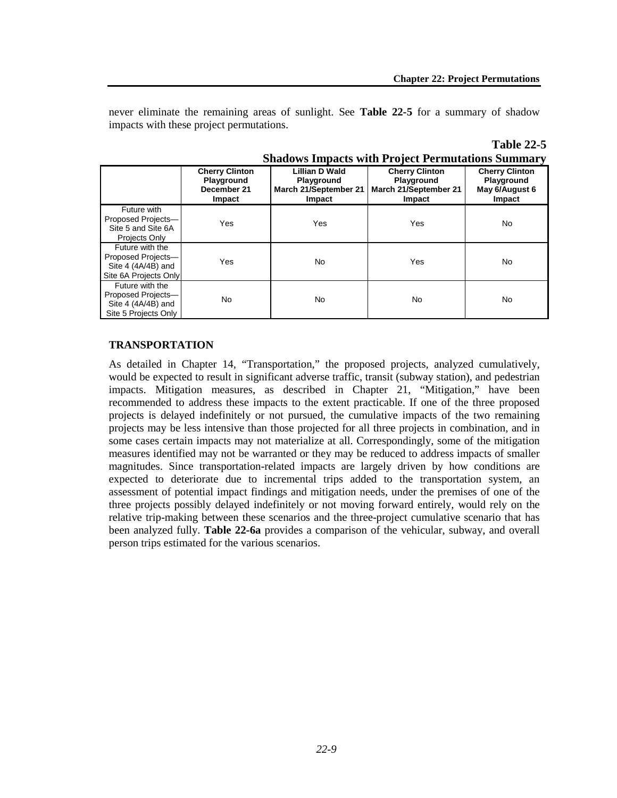never eliminate the remaining areas of sunlight. See **Table 22-5** for a summary of shadow impacts with these project permutations.

|                                                                                        |                                                              |                                                                        | Shadows impacts with Project Permutations Summary                      |                                                                 |
|----------------------------------------------------------------------------------------|--------------------------------------------------------------|------------------------------------------------------------------------|------------------------------------------------------------------------|-----------------------------------------------------------------|
|                                                                                        | <b>Cherry Clinton</b><br>Playground<br>December 21<br>Impact | Lillian D Wald<br><b>Playground</b><br>March 21/September 21<br>Impact | <b>Cherry Clinton</b><br>Playground<br>March 21/September 21<br>Impact | <b>Cherry Clinton</b><br>Playground<br>May 6/August 6<br>Impact |
| Future with<br>Proposed Projects-<br>Site 5 and Site 6A<br>Projects Only               | Yes                                                          | Yes                                                                    | Yes                                                                    | No                                                              |
| Future with the<br>Proposed Projects-<br>Site 4 $(4A/4B)$ and<br>Site 6A Projects Only | Yes                                                          | No                                                                     | Yes                                                                    | No                                                              |
| Future with the<br>Proposed Projects-<br>Site 4 $(4A/4B)$ and<br>Site 5 Projects Only  | No                                                           | No                                                                     | <b>No</b>                                                              | No                                                              |

| <b>Table 22-5</b>                                        |
|----------------------------------------------------------|
| <b>Shadows Impacts with Project Permutations Summary</b> |

#### **TRANSPORTATION**

As detailed in Chapter 14, "Transportation," the proposed projects, analyzed cumulatively, would be expected to result in significant adverse traffic, transit (subway station), and pedestrian impacts. Mitigation measures, as described in Chapter 21, "Mitigation," have been recommended to address these impacts to the extent practicable. If one of the three proposed projects is delayed indefinitely or not pursued, the cumulative impacts of the two remaining projects may be less intensive than those projected for all three projects in combination, and in some cases certain impacts may not materialize at all. Correspondingly, some of the mitigation measures identified may not be warranted or they may be reduced to address impacts of smaller magnitudes. Since transportation-related impacts are largely driven by how conditions are expected to deteriorate due to incremental trips added to the transportation system, an assessment of potential impact findings and mitigation needs, under the premises of one of the three projects possibly delayed indefinitely or not moving forward entirely, would rely on the relative trip-making between these scenarios and the three-project cumulative scenario that has been analyzed fully. **Table 22-6a** provides a comparison of the vehicular, subway, and overall person trips estimated for the various scenarios.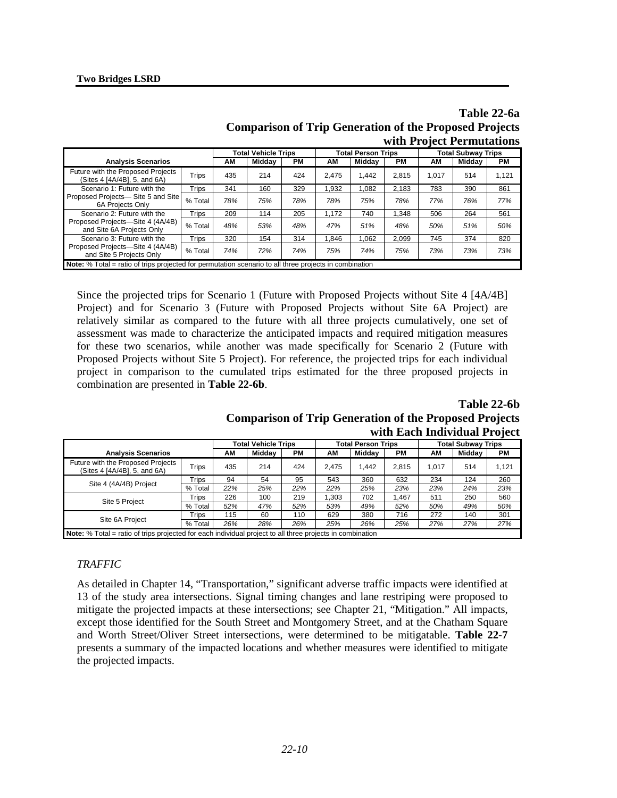|                                                                                                               |         |     |                            |           |       |                           |           |                           | with Project Permutations |           |
|---------------------------------------------------------------------------------------------------------------|---------|-----|----------------------------|-----------|-------|---------------------------|-----------|---------------------------|---------------------------|-----------|
|                                                                                                               |         |     | <b>Total Vehicle Trips</b> |           |       | <b>Total Person Trips</b> |           | <b>Total Subway Trips</b> |                           |           |
| <b>Analysis Scenarios</b>                                                                                     |         | ΑМ  | Middav                     | <b>PM</b> | АM    | Middav                    | <b>PM</b> | AΜ                        | Middav                    | <b>PM</b> |
| Future with the Proposed Projects<br>(Sites 4 [4A/4B], 5, and 6A)                                             | Trips   | 435 | 214                        | 424       | 2.475 | 1.442                     | 2.815     | 1.017                     | 514                       | 1,121     |
| Scenario 1: Future with the<br>Proposed Projects-Site 5 and Site<br>6A Proiects Only                          | Trips   | 341 | 160                        | 329       | 1.932 | 1.082                     | 2,183     | 783                       | 390                       | 861       |
|                                                                                                               | % Total | 78% | 75%                        | 78%       | 78%   | 75%                       | 78%       | 77%                       | 76%                       | 77%       |
| Scenario 2: Future with the<br>Proposed Projects-Site 4 (4A/4B)<br>and Site 6A Projects Only                  | Trips   | 209 | 114                        | 205       | 1.172 | 740                       | 1.348     | 506                       | 264                       | 561       |
|                                                                                                               | % Total | 48% | 53%                        | 48%       | 47%   | 51%                       | 48%       | 50%                       | 51%                       | 50%       |
| Scenario 3: Future with the<br>Proposed Projects-Site 4 (4A/4B)<br>and Site 5 Projects Only                   | Trips   | 320 | 154                        | 314       | 1.846 | 1.062                     | 2.099     | 745                       | 374                       | 820       |
|                                                                                                               | % Total | 74% | 72%                        | 74%       | 75%   | 74%                       | 75%       | 73%                       | 73%                       | 73%       |
| <b>Note:</b> % Total = ratio of trips projected for permutation scenario to all three projects in combination |         |     |                            |           |       |                           |           |                           |                           |           |

**Table 22-6a Comparison of Trip Generation of the Proposed Projects**

Since the projected trips for Scenario 1 (Future with Proposed Projects without Site 4 [4A/4B] Project) and for Scenario 3 (Future with Proposed Projects without Site 6A Project) are relatively similar as compared to the future with all three projects cumulatively, one set of assessment was made to characterize the anticipated impacts and required mitigation measures for these two scenarios, while another was made specifically for Scenario 2 (Future with Proposed Projects without Site 5 Project). For reference, the projected trips for each individual project in comparison to the cumulated trips estimated for the three proposed projects in combination are presented in **Table 22-6b**.

**Table 22-6b**

| <b>Comparison of Trip Generation of the Proposed Projects</b> |  |                              |  |
|---------------------------------------------------------------|--|------------------------------|--|
|                                                               |  | with Each Individual Project |  |

|                                                                                                           |              | <b>Total Vehicle Trips</b> |        |     | <b>Total Person Trips</b> |        |       | <b>Total Subway Trips</b> |        |           |
|-----------------------------------------------------------------------------------------------------------|--------------|----------------------------|--------|-----|---------------------------|--------|-------|---------------------------|--------|-----------|
| <b>Analysis Scenarios</b>                                                                                 |              | AM                         | Middav | PМ  | AΜ                        | Midday | PМ    | AM                        | Middav | <b>PM</b> |
| Future with the Proposed Projects<br>(Sites 4 [4A/4B], 5, and 6A)                                         | <b>Trips</b> | 435                        | 214    | 424 | 2.475                     | 1.442  | 2.815 | 1.017                     | 514    | 1.121     |
|                                                                                                           | <b>Trips</b> | 94                         | 54     | 95  | 543                       | 360    | 632   | 234                       | 124    | 260       |
| Site 4 (4A/4B) Project                                                                                    | % Total      | 22%                        | 25%    | 22% | 22%                       | 25%    | 23%   | 23%                       | 24%    | 23%       |
|                                                                                                           | Trips        | 226                        | 100    | 219 | 1,303                     | 702    | 1.467 | 511                       | 250    | 560       |
| Site 5 Project                                                                                            | % Total      | 52%                        | 47%    | 52% | 53%                       | 49%    | 52%   | 50%                       | 49%    | 50%       |
| Site 6A Project                                                                                           | <b>Trips</b> | 115                        | 60     | 110 | 629                       | 380    | 716   | 272                       | 140    | 301       |
|                                                                                                           | % Total      | 26%                        | 28%    | 26% | 25%                       | 26%    | 25%   | 27%                       | 27%    | 27%       |
| Note: % Total = ratio of trips projected for each individual project to all three projects in combination |              |                            |        |     |                           |        |       |                           |        |           |

## *TRAFFIC*

As detailed in Chapter 14, "Transportation," significant adverse traffic impacts were identified at 13 of the study area intersections. Signal timing changes and lane restriping were proposed to mitigate the projected impacts at these intersections; see Chapter 21, "Mitigation." All impacts, except those identified for the South Street and Montgomery Street, and at the Chatham Square and Worth Street/Oliver Street intersections, were determined to be mitigatable. **Table 22-7** presents a summary of the impacted locations and whether measures were identified to mitigate the projected impacts.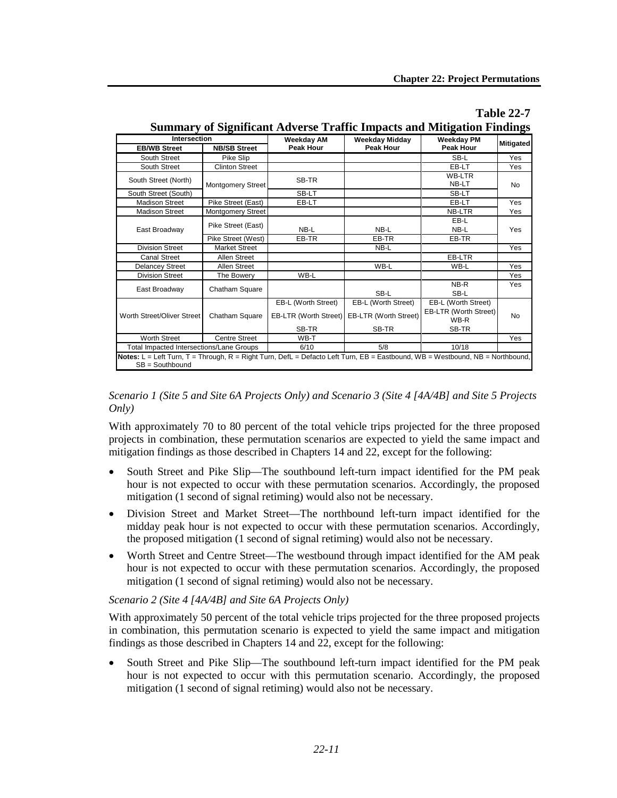|                                                                                                                               |                          | Summary of Significant Adverse Traffic Impacts and Mitigation Findings |                                           |                                |                  |
|-------------------------------------------------------------------------------------------------------------------------------|--------------------------|------------------------------------------------------------------------|-------------------------------------------|--------------------------------|------------------|
| <b>Intersection</b><br><b>EB/WB Street</b>                                                                                    | <b>NB/SB Street</b>      | Weekday AM<br><b>Peak Hour</b>                                         | <b>Weekday Midday</b><br><b>Peak Hour</b> | <b>Weekday PM</b><br>Peak Hour | <b>Mitigated</b> |
| South Street                                                                                                                  | Pike Slip                |                                                                        |                                           | SB-L                           | Yes              |
| South Street                                                                                                                  | <b>Clinton Street</b>    |                                                                        |                                           | EB-LT                          | Yes              |
| South Street (North)                                                                                                          | <b>Montgomery Street</b> | SB-TR                                                                  |                                           | <b>WB-LTR</b><br>NB-LT         | <b>No</b>        |
| South Street (South)                                                                                                          |                          | SB-LT                                                                  |                                           | SB-LT                          |                  |
| <b>Madison Street</b>                                                                                                         | Pike Street (East)       | EB-LT                                                                  |                                           | EB-LT                          | Yes              |
| <b>Madison Street</b>                                                                                                         | <b>Montgomery Street</b> |                                                                        |                                           | <b>NB-LTR</b>                  | Yes              |
| East Broadway                                                                                                                 | Pike Street (East)       |                                                                        |                                           | EB-L                           | Yes              |
|                                                                                                                               |                          | NB-L                                                                   | NB-L                                      | NB-L                           |                  |
|                                                                                                                               | Pike Street (West)       | EB-TR                                                                  | EB-TR                                     | EB-TR                          |                  |
| <b>Division Street</b>                                                                                                        | <b>Market Street</b>     |                                                                        | NB-L                                      |                                | Yes              |
| <b>Canal Street</b>                                                                                                           | Allen Street             |                                                                        |                                           | EB-LTR                         |                  |
| <b>Delancey Street</b>                                                                                                        | Allen Street             |                                                                        | WB-L                                      | WB-L                           | Yes              |
| <b>Division Street</b>                                                                                                        | The Bowery               | WB-L                                                                   |                                           |                                | Yes              |
| East Broadway                                                                                                                 | Chatham Square           |                                                                        | SB-L                                      | NB-R<br>SB-L                   | Yes              |
| Worth Street/Oliver Street                                                                                                    |                          | EB-L (Worth Street)                                                    | EB-L (Worth Street)                       | EB-L (Worth Street)            |                  |
|                                                                                                                               | Chatham Square           | EB-LTR (Worth Street)                                                  | <b>EB-LTR (Worth Street)</b>              | EB-LTR (Worth Street)<br>WB-R  | <b>No</b>        |
|                                                                                                                               |                          | SB-TR                                                                  | SB-TR                                     | SB-TR                          |                  |
| <b>Worth Street</b>                                                                                                           | <b>Centre Street</b>     | WB-T                                                                   |                                           |                                | Yes              |
| <b>Total Impacted Intersections/Lane Groups</b>                                                                               |                          | 6/10                                                                   | 5/8                                       | 10/18                          |                  |
| Notes: L = Left Turn, T = Through, R = Right Turn, DefL = Defacto Left Turn, EB = Eastbound, WB = Westbound, NB = Northbound, |                          |                                                                        |                                           |                                |                  |
| $SB =$ Southbound                                                                                                             |                          |                                                                        |                                           |                                |                  |

# **Table 22-7 Summary of Significant Adverse Traffic Impacts and Mitigation Findings**

## *Scenario 1 (Site 5 and Site 6A Projects Only) and Scenario 3 (Site 4 [4A/4B] and Site 5 Projects Only)*

With approximately 70 to 80 percent of the total vehicle trips projected for the three proposed projects in combination, these permutation scenarios are expected to yield the same impact and mitigation findings as those described in Chapters 14 and 22, except for the following:

- South Street and Pike Slip—The southbound left-turn impact identified for the PM peak hour is not expected to occur with these permutation scenarios. Accordingly, the proposed mitigation (1 second of signal retiming) would also not be necessary.
- Division Street and Market Street—The northbound left-turn impact identified for the midday peak hour is not expected to occur with these permutation scenarios. Accordingly, the proposed mitigation (1 second of signal retiming) would also not be necessary.
- Worth Street and Centre Street—The westbound through impact identified for the AM peak hour is not expected to occur with these permutation scenarios. Accordingly, the proposed mitigation (1 second of signal retiming) would also not be necessary.

# *Scenario 2 (Site 4 [4A/4B] and Site 6A Projects Only)*

With approximately 50 percent of the total vehicle trips projected for the three proposed projects in combination, this permutation scenario is expected to yield the same impact and mitigation findings as those described in Chapters 14 and 22, except for the following:

• South Street and Pike Slip—The southbound left-turn impact identified for the PM peak hour is not expected to occur with this permutation scenario. Accordingly, the proposed mitigation (1 second of signal retiming) would also not be necessary.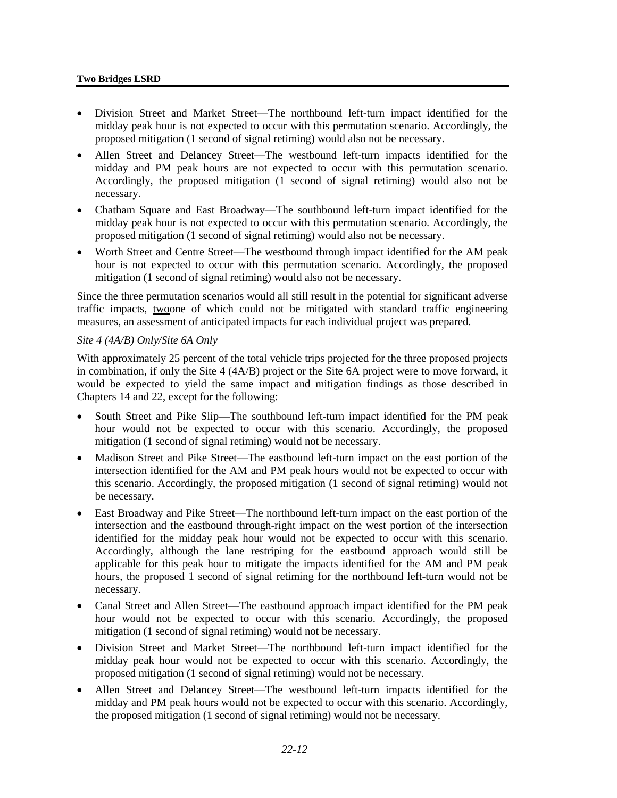#### **Two Bridges LSRD**

- Division Street and Market Street—The northbound left-turn impact identified for the midday peak hour is not expected to occur with this permutation scenario. Accordingly, the proposed mitigation (1 second of signal retiming) would also not be necessary.
- Allen Street and Delancey Street—The westbound left-turn impacts identified for the midday and PM peak hours are not expected to occur with this permutation scenario. Accordingly, the proposed mitigation (1 second of signal retiming) would also not be necessary.
- Chatham Square and East Broadway—The southbound left-turn impact identified for the midday peak hour is not expected to occur with this permutation scenario. Accordingly, the proposed mitigation (1 second of signal retiming) would also not be necessary.
- Worth Street and Centre Street—The westbound through impact identified for the AM peak hour is not expected to occur with this permutation scenario. Accordingly, the proposed mitigation (1 second of signal retiming) would also not be necessary.

Since the three permutation scenarios would all still result in the potential for significant adverse traffic impacts, two one of which could not be mitigated with standard traffic engineering measures, an assessment of anticipated impacts for each individual project was prepared.

#### *Site 4 (4A/B) Only/Site 6A Only*

With approximately 25 percent of the total vehicle trips projected for the three proposed projects in combination, if only the Site 4 (4A/B) project or the Site 6A project were to move forward, it would be expected to yield the same impact and mitigation findings as those described in Chapters 14 and 22, except for the following:

- South Street and Pike Slip—The southbound left-turn impact identified for the PM peak hour would not be expected to occur with this scenario. Accordingly, the proposed mitigation (1 second of signal retiming) would not be necessary.
- Madison Street and Pike Street—The eastbound left-turn impact on the east portion of the intersection identified for the AM and PM peak hours would not be expected to occur with this scenario. Accordingly, the proposed mitigation (1 second of signal retiming) would not be necessary.
- East Broadway and Pike Street—The northbound left-turn impact on the east portion of the intersection and the eastbound through-right impact on the west portion of the intersection identified for the midday peak hour would not be expected to occur with this scenario. Accordingly, although the lane restriping for the eastbound approach would still be applicable for this peak hour to mitigate the impacts identified for the AM and PM peak hours, the proposed 1 second of signal retiming for the northbound left-turn would not be necessary.
- Canal Street and Allen Street—The eastbound approach impact identified for the PM peak hour would not be expected to occur with this scenario. Accordingly, the proposed mitigation (1 second of signal retiming) would not be necessary.
- Division Street and Market Street—The northbound left-turn impact identified for the midday peak hour would not be expected to occur with this scenario. Accordingly, the proposed mitigation (1 second of signal retiming) would not be necessary.
- Allen Street and Delancey Street—The westbound left-turn impacts identified for the midday and PM peak hours would not be expected to occur with this scenario. Accordingly, the proposed mitigation (1 second of signal retiming) would not be necessary.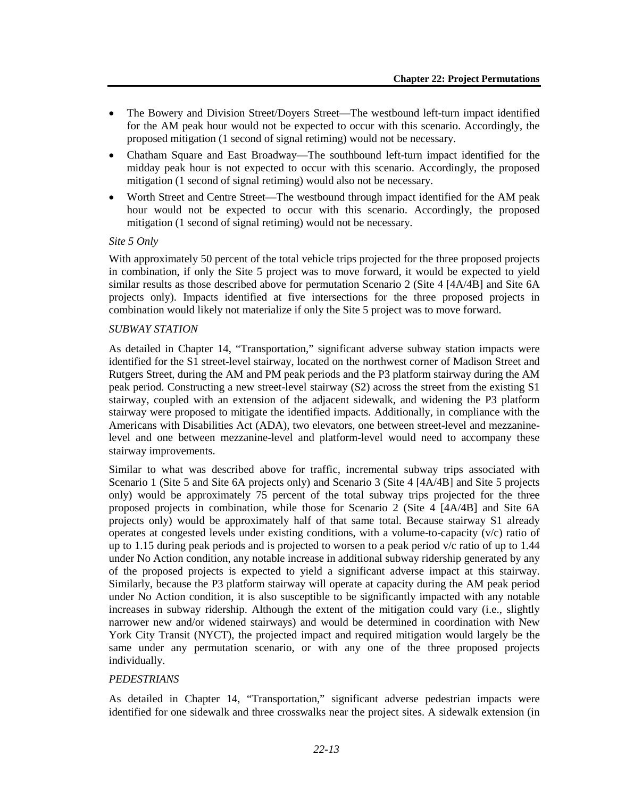- The Bowery and Division Street/Doyers Street—The westbound left-turn impact identified for the AM peak hour would not be expected to occur with this scenario. Accordingly, the proposed mitigation (1 second of signal retiming) would not be necessary.
- Chatham Square and East Broadway—The southbound left-turn impact identified for the midday peak hour is not expected to occur with this scenario. Accordingly, the proposed mitigation (1 second of signal retiming) would also not be necessary.
- Worth Street and Centre Street—The westbound through impact identified for the AM peak hour would not be expected to occur with this scenario. Accordingly, the proposed mitigation (1 second of signal retiming) would not be necessary.

#### *Site 5 Only*

With approximately 50 percent of the total vehicle trips projected for the three proposed projects in combination, if only the Site 5 project was to move forward, it would be expected to yield similar results as those described above for permutation Scenario 2 (Site 4 [4A/4B] and Site 6A projects only). Impacts identified at five intersections for the three proposed projects in combination would likely not materialize if only the Site 5 project was to move forward.

#### *SUBWAY STATION*

As detailed in Chapter 14, "Transportation," significant adverse subway station impacts were identified for the S1 street-level stairway, located on the northwest corner of Madison Street and Rutgers Street, during the AM and PM peak periods and the P3 platform stairway during the AM peak period. Constructing a new street-level stairway (S2) across the street from the existing S1 stairway, coupled with an extension of the adjacent sidewalk, and widening the P3 platform stairway were proposed to mitigate the identified impacts. Additionally, in compliance with the Americans with Disabilities Act (ADA), two elevators, one between street-level and mezzaninelevel and one between mezzanine-level and platform-level would need to accompany these stairway improvements.

Similar to what was described above for traffic, incremental subway trips associated with Scenario 1 (Site 5 and Site 6A projects only) and Scenario 3 (Site 4 [4A/4B] and Site 5 projects only) would be approximately 75 percent of the total subway trips projected for the three proposed projects in combination, while those for Scenario 2 (Site 4 [4A/4B] and Site 6A projects only) would be approximately half of that same total. Because stairway S1 already operates at congested levels under existing conditions, with a volume-to-capacity (v/c) ratio of up to 1.15 during peak periods and is projected to worsen to a peak period v/c ratio of up to 1.44 under No Action condition, any notable increase in additional subway ridership generated by any of the proposed projects is expected to yield a significant adverse impact at this stairway. Similarly, because the P3 platform stairway will operate at capacity during the AM peak period under No Action condition, it is also susceptible to be significantly impacted with any notable increases in subway ridership. Although the extent of the mitigation could vary (i.e., slightly narrower new and/or widened stairways) and would be determined in coordination with New York City Transit (NYCT), the projected impact and required mitigation would largely be the same under any permutation scenario, or with any one of the three proposed projects individually.

## *PEDESTRIANS*

As detailed in Chapter 14, "Transportation," significant adverse pedestrian impacts were identified for one sidewalk and three crosswalks near the project sites. A sidewalk extension (in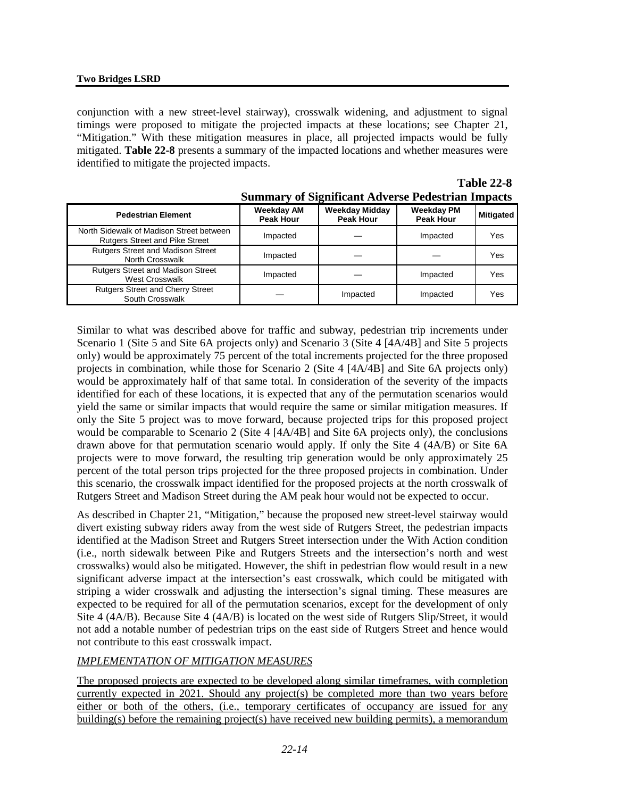conjunction with a new street-level stairway), crosswalk widening, and adjustment to signal timings were proposed to mitigate the projected impacts at these locations; see Chapter 21, "Mitigation." With these mitigation measures in place, all projected impacts would be fully mitigated. **Table 22-8** presents a summary of the impacted locations and whether measures were identified to mitigate the projected impacts.

|                                                                                   |                                       |                                           | Dunmar , or Digminum riu , croc i cucon am impacto |           |
|-----------------------------------------------------------------------------------|---------------------------------------|-------------------------------------------|----------------------------------------------------|-----------|
| <b>Pedestrian Element</b>                                                         | <b>Weekday AM</b><br><b>Peak Hour</b> | <b>Weekday Midday</b><br><b>Peak Hour</b> | <b>Weekday PM</b><br><b>Peak Hour</b>              | Mitigated |
| North Sidewalk of Madison Street between<br><b>Rutgers Street and Pike Street</b> | Impacted                              |                                           | Impacted                                           | Yes       |
| <b>Rutgers Street and Madison Street</b><br>North Crosswalk                       | Impacted                              |                                           |                                                    | Yes       |
| <b>Rutgers Street and Madison Street</b><br><b>West Crosswalk</b>                 | Impacted                              |                                           | Impacted                                           | Yes       |
| <b>Rutgers Street and Cherry Street</b><br>South Crosswalk                        |                                       | Impacted                                  | Impacted                                           | Yes       |

| <b>Table 22-8</b>                                        |
|----------------------------------------------------------|
| <b>Summary of Significant Adverse Pedestrian Impacts</b> |

Similar to what was described above for traffic and subway, pedestrian trip increments under Scenario 1 (Site 5 and Site 6A projects only) and Scenario 3 (Site 4 [4A/4B] and Site 5 projects only) would be approximately 75 percent of the total increments projected for the three proposed projects in combination, while those for Scenario 2 (Site 4 [4A/4B] and Site 6A projects only) would be approximately half of that same total. In consideration of the severity of the impacts identified for each of these locations, it is expected that any of the permutation scenarios would yield the same or similar impacts that would require the same or similar mitigation measures. If only the Site 5 project was to move forward, because projected trips for this proposed project would be comparable to Scenario 2 (Site 4 [4A/4B] and Site 6A projects only), the conclusions drawn above for that permutation scenario would apply. If only the Site 4 (4A/B) or Site 6A projects were to move forward, the resulting trip generation would be only approximately 25 percent of the total person trips projected for the three proposed projects in combination. Under this scenario, the crosswalk impact identified for the proposed projects at the north crosswalk of Rutgers Street and Madison Street during the AM peak hour would not be expected to occur.

As described in Chapter 21, "Mitigation," because the proposed new street-level stairway would divert existing subway riders away from the west side of Rutgers Street, the pedestrian impacts identified at the Madison Street and Rutgers Street intersection under the With Action condition (i.e., north sidewalk between Pike and Rutgers Streets and the intersection's north and west crosswalks) would also be mitigated. However, the shift in pedestrian flow would result in a new significant adverse impact at the intersection's east crosswalk, which could be mitigated with striping a wider crosswalk and adjusting the intersection's signal timing. These measures are expected to be required for all of the permutation scenarios, except for the development of only Site 4 (4A/B). Because Site 4 (4A/B) is located on the west side of Rutgers Slip/Street, it would not add a notable number of pedestrian trips on the east side of Rutgers Street and hence would not contribute to this east crosswalk impact.

# *IMPLEMENTATION OF MITIGATION MEASURES*

The proposed projects are expected to be developed along similar timeframes, with completion currently expected in 2021. Should any project(s) be completed more than two years before either or both of the others, (i.e., temporary certificates of occupancy are issued for any building(s) before the remaining project(s) have received new building permits), a memorandum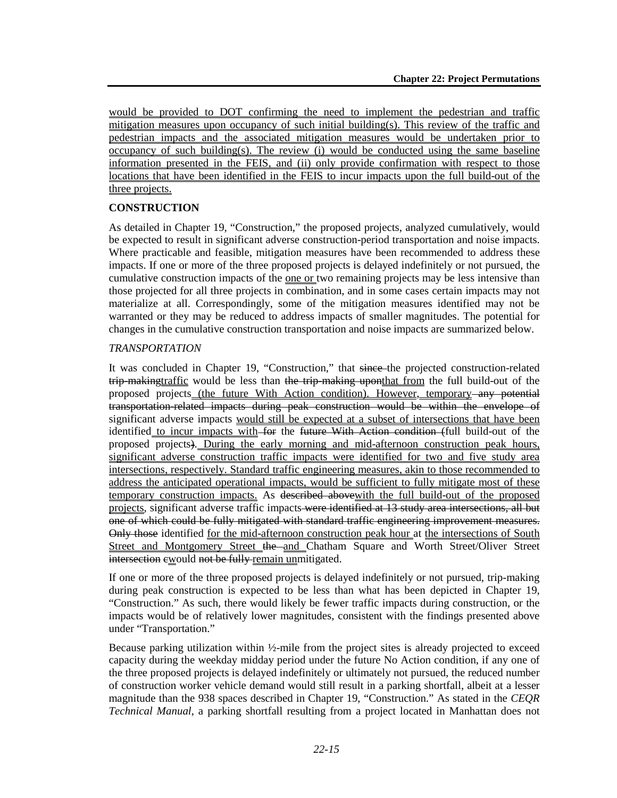would be provided to DOT confirming the need to implement the pedestrian and traffic mitigation measures upon occupancy of such initial building(s). This review of the traffic and pedestrian impacts and the associated mitigation measures would be undertaken prior to occupancy of such building(s). The review (i) would be conducted using the same baseline information presented in the FEIS, and (ii) only provide confirmation with respect to those locations that have been identified in the FEIS to incur impacts upon the full build-out of the three projects.

# **CONSTRUCTION**

As detailed in Chapter 19, "Construction," the proposed projects, analyzed cumulatively, would be expected to result in significant adverse construction-period transportation and noise impacts. Where practicable and feasible, mitigation measures have been recommended to address these impacts. If one or more of the three proposed projects is delayed indefinitely or not pursued, the cumulative construction impacts of the <u>one or</u> two remaining projects may be less intensive than those projected for all three projects in combination, and in some cases certain impacts may not materialize at all. Correspondingly, some of the mitigation measures identified may not be warranted or they may be reduced to address impacts of smaller magnitudes. The potential for changes in the cumulative construction transportation and noise impacts are summarized below.

## *TRANSPORTATION*

It was concluded in Chapter 19, "Construction," that since the projected construction-related trip-makingtraffic would be less than the trip-making uponthat from the full build-out of the proposed projects (the future With Action condition). However, temporary any potential transportation-related impacts during peak construction would be within the envelope of significant adverse impacts would still be expected at a subset of intersections that have been identified to incur impacts with for the future With Action condition (full build-out of the proposed projects). During the early morning and mid-afternoon construction peak hours, significant adverse construction traffic impacts were identified for two and five study area intersections, respectively. Standard traffic engineering measures, akin to those recommended to address the anticipated operational impacts, would be sufficient to fully mitigate most of these temporary construction impacts. As described above with the full build-out of the proposed projects, significant adverse traffic impacts were identified at 13 study area intersections, all but one of which could be fully mitigated with standard traffic engineering improvement measures. Only those identified for the mid-afternoon construction peak hour at the intersections of South Street and Montgomery Street the and Chatham Square and Worth Street/Oliver Street intersection ewould not be fully remain unmitigated.

If one or more of the three proposed projects is delayed indefinitely or not pursued, trip-making during peak construction is expected to be less than what has been depicted in Chapter 19, "Construction." As such, there would likely be fewer traffic impacts during construction, or the impacts would be of relatively lower magnitudes, consistent with the findings presented above under "Transportation."

Because parking utilization within ½-mile from the project sites is already projected to exceed capacity during the weekday midday period under the future No Action condition, if any one of the three proposed projects is delayed indefinitely or ultimately not pursued, the reduced number of construction worker vehicle demand would still result in a parking shortfall, albeit at a lesser magnitude than the 938 spaces described in Chapter 19, "Construction." As stated in the *CEQR Technical Manual*, a parking shortfall resulting from a project located in Manhattan does not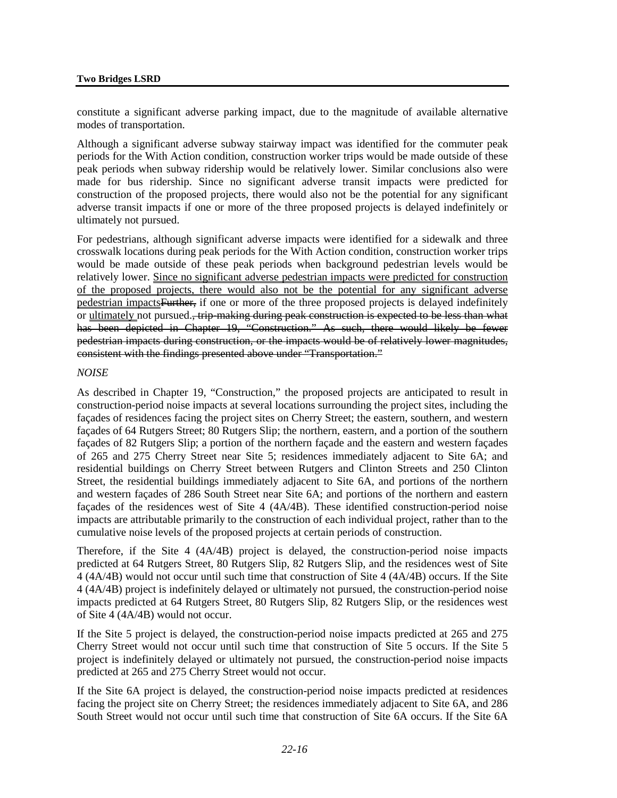#### **Two Bridges LSRD**

constitute a significant adverse parking impact, due to the magnitude of available alternative modes of transportation.

Although a significant adverse subway stairway impact was identified for the commuter peak periods for the With Action condition, construction worker trips would be made outside of these peak periods when subway ridership would be relatively lower. Similar conclusions also were made for bus ridership. Since no significant adverse transit impacts were predicted for construction of the proposed projects, there would also not be the potential for any significant adverse transit impacts if one or more of the three proposed projects is delayed indefinitely or ultimately not pursued.

For pedestrians, although significant adverse impacts were identified for a sidewalk and three crosswalk locations during peak periods for the With Action condition, construction worker trips would be made outside of these peak periods when background pedestrian levels would be relatively lower. Since no significant adverse pedestrian impacts were predicted for construction of the proposed projects, there would also not be the potential for any significant adverse pedestrian impactsFurther, if one or more of the three proposed projects is delayed indefinitely or ultimately not pursued., trip-making during peak construction is expected to be less than what has been depicted in Chapter 19, "Construction." As such, there would likely be fewer pedestrian impacts during construction, or the impacts would be of relatively lower magnitudes, consistent with the findings presented above under "Transportation."

#### *NOISE*

As described in Chapter 19, "Construction," the proposed projects are anticipated to result in construction-period noise impacts at several locations surrounding the project sites, including the façades of residences facing the project sites on Cherry Street; the eastern, southern, and western façades of 64 Rutgers Street; 80 Rutgers Slip; the northern, eastern, and a portion of the southern façades of 82 Rutgers Slip; a portion of the northern façade and the eastern and western façades of 265 and 275 Cherry Street near Site 5; residences immediately adjacent to Site 6A; and residential buildings on Cherry Street between Rutgers and Clinton Streets and 250 Clinton Street, the residential buildings immediately adjacent to Site 6A, and portions of the northern and western façades of 286 South Street near Site 6A; and portions of the northern and eastern façades of the residences west of Site 4 (4A/4B). These identified construction-period noise impacts are attributable primarily to the construction of each individual project, rather than to the cumulative noise levels of the proposed projects at certain periods of construction.

Therefore, if the Site 4 (4A/4B) project is delayed, the construction-period noise impacts predicted at 64 Rutgers Street, 80 Rutgers Slip, 82 Rutgers Slip, and the residences west of Site 4 (4A/4B) would not occur until such time that construction of Site 4 (4A/4B) occurs. If the Site 4 (4A/4B) project is indefinitely delayed or ultimately not pursued, the construction-period noise impacts predicted at 64 Rutgers Street, 80 Rutgers Slip, 82 Rutgers Slip, or the residences west of Site 4 (4A/4B) would not occur.

If the Site 5 project is delayed, the construction-period noise impacts predicted at 265 and 275 Cherry Street would not occur until such time that construction of Site 5 occurs. If the Site 5 project is indefinitely delayed or ultimately not pursued, the construction-period noise impacts predicted at 265 and 275 Cherry Street would not occur.

If the Site 6A project is delayed, the construction-period noise impacts predicted at residences facing the project site on Cherry Street; the residences immediately adjacent to Site 6A, and 286 South Street would not occur until such time that construction of Site 6A occurs. If the Site 6A